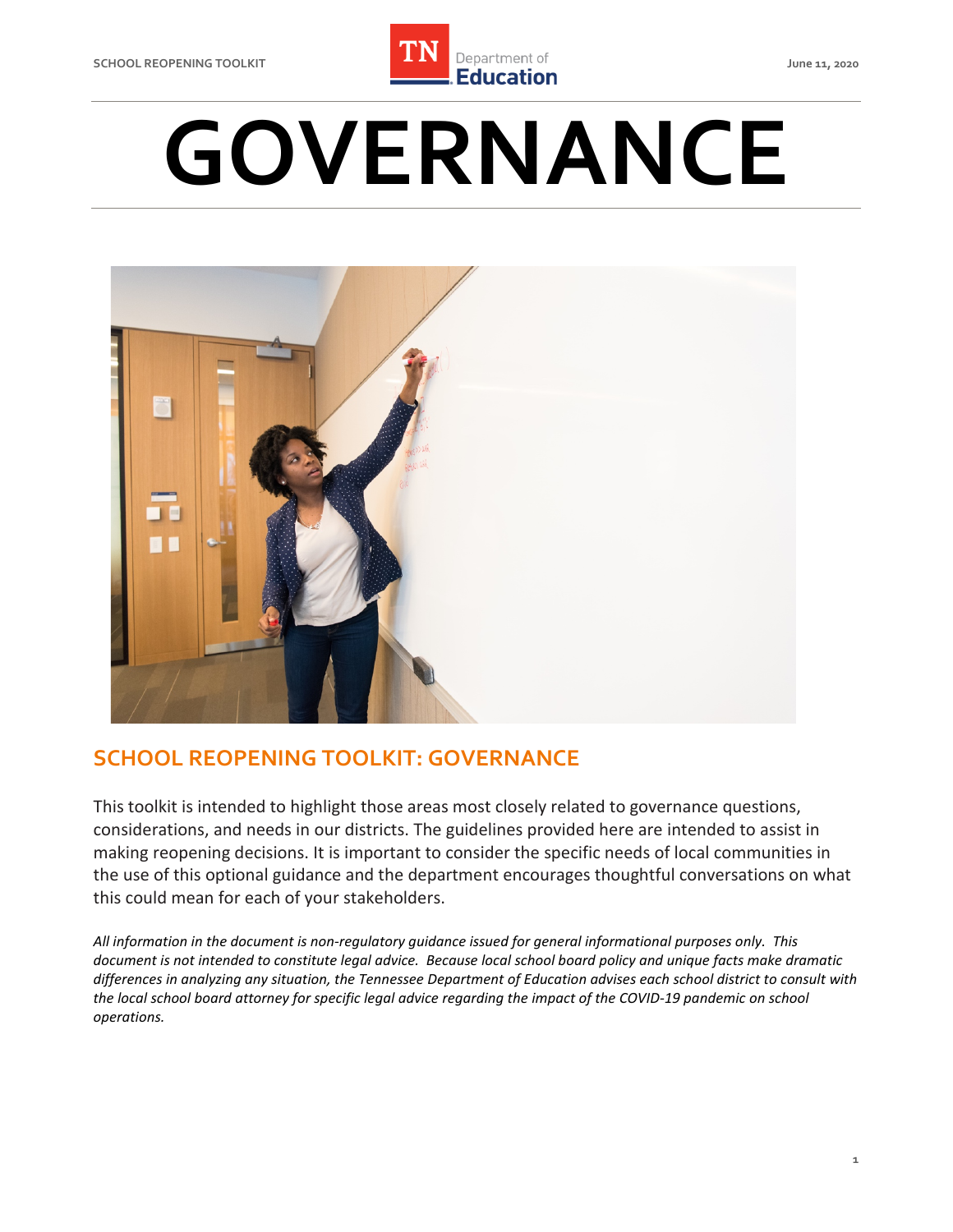

# **GOVERNANCE**



## **SCHOOL REOPENING TOOLKIT: GOVERNANCE**

 This toolkit is intended to highlight those areas most closely related to governance questions, considerations, and needs in our districts. The guidelines provided here are intended to assist in making reopening decisions. It is important to consider the specific needs of local communities in the use of this optional guidance and the department encourages thoughtful conversations on what this could mean for each of your stakeholders.

 *All information in the document is non-regulatory guidance issued for general informational purposes only. This document is not intended to constitute legal advice. Because local school board policy and unique facts make dramatic differences in analyzing any situation, the Tennessee Department of Education advises each school district to consult with the local school board attorney for specific legal advice regarding the impact of the COVID-19 pandemic on school operations.*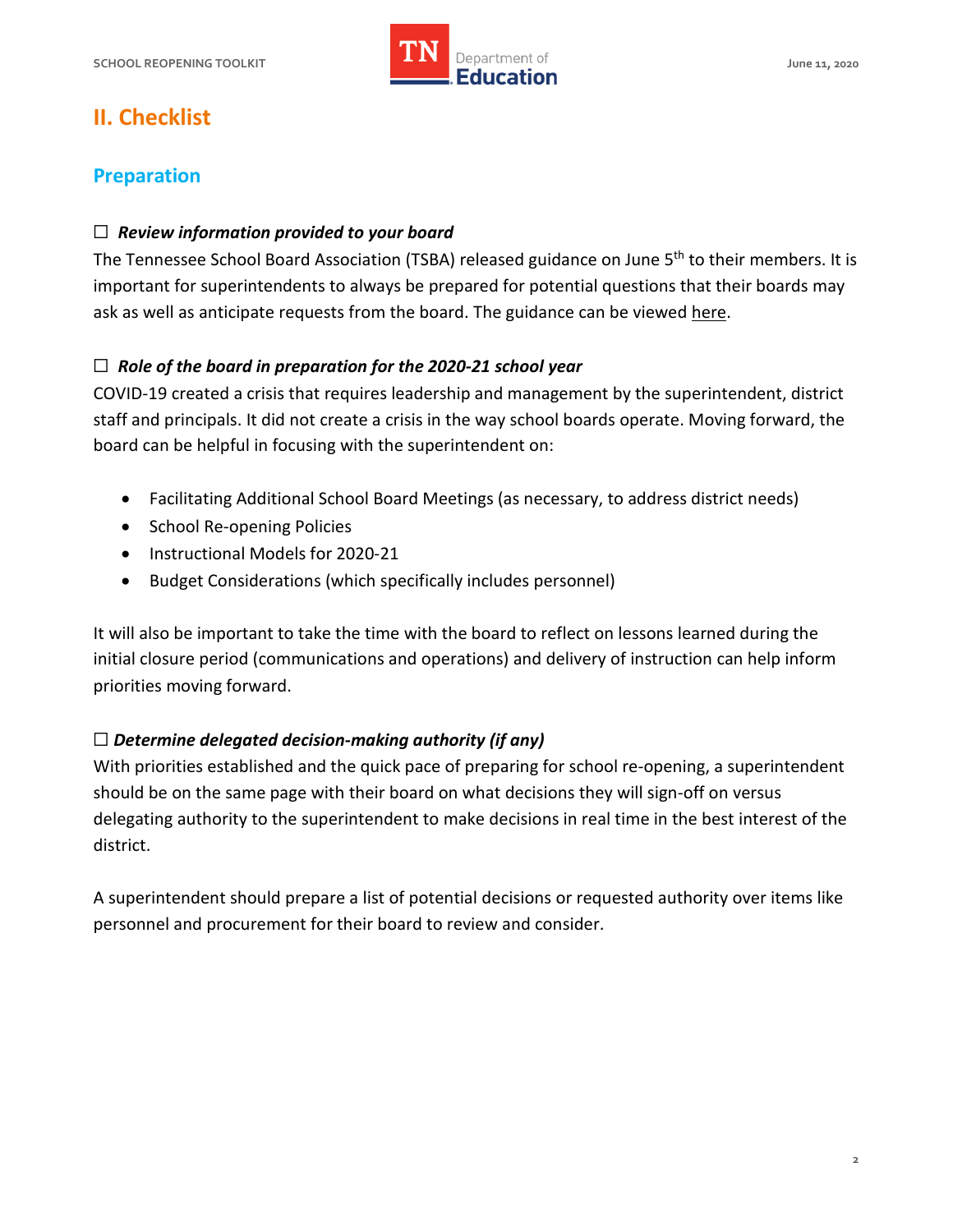

# **II. Checklist**

#### **Preparation**

#### ☐ *Review information provided to your board*

The Tennessee School Board Association (TSBA) released guidance on June 5<sup>th</sup> to their members. It is important for superintendents to always be prepared for potential questions that their boards may ask as well as anticipate requests from the board. The guidance can be viewed [here.](https://mailchi.mp/33c41f3d0cfe/zjh67352ni-2155292)

#### ☐ *Role of the board in preparation for the 2020-21 school year*

 COVID-19 created a crisis that requires leadership and management by the superintendent, district staff and principals. It did not create a crisis in the way school boards operate. Moving forward, the board can be helpful in focusing with the superintendent on:

- Facilitating Additional School Board Meetings (as necessary, to address district needs)
- School Re-opening Policies
- Instructional Models for 2020-21
- Budget Considerations (which specifically includes personnel)

 It will also be important to take the time with the board to reflect on lessons learned during the initial closure period (communications and operations) and delivery of instruction can help inform priorities moving forward.

#### ☐ *Determine delegated decision-making authority (if any)*

 With priorities established and the quick pace of preparing for school re-opening, a superintendent should be on the same page with their board on what decisions they will sign-off on versus delegating authority to the superintendent to make decisions in real time in the best interest of the district.

district.<br>A superintendent should prepare a list of potential decisions or requested authority over items like personnel and procurement for their board to review and consider.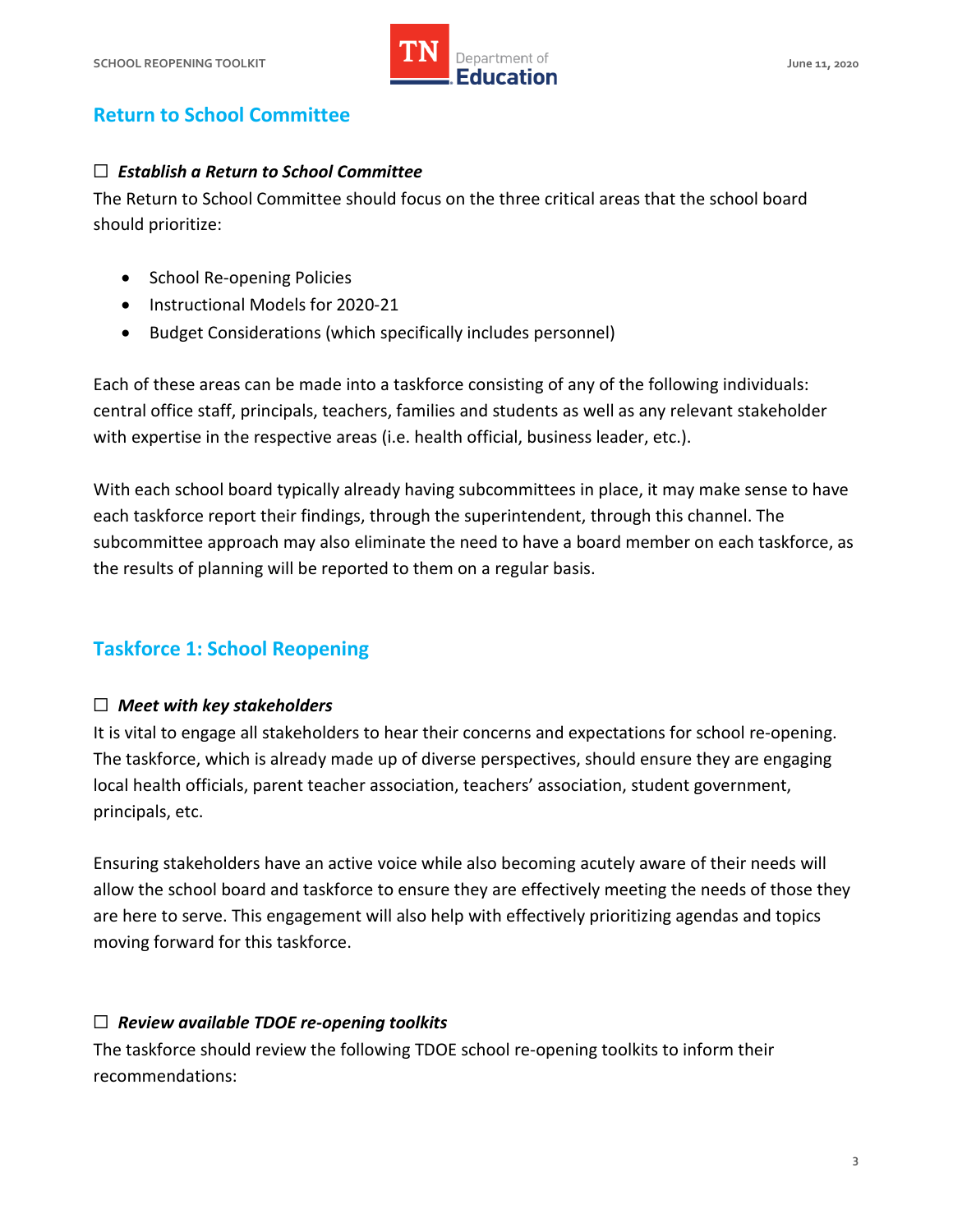

## **Return to School Committee**

#### ☐ *Establish a Return to School Committee*

 The Return to School Committee should focus on the three critical areas that the school board should prioritize:

- School Re-opening Policies
- Instructional Models for 2020-21
- Budget Considerations (which specifically includes personnel)

 Each of these areas can be made into a taskforce consisting of any of the following individuals: central office staff, principals, teachers, families and students as well as any relevant stakeholder with expertise in the respective areas (i.e. health official, business leader, etc.).

 With each school board typically already having subcommittees in place, it may make sense to have each taskforce report their findings, through the superintendent, through this channel. The subcommittee approach may also eliminate the need to have a board member on each taskforce, as the results of planning will be reported to them on a regular basis.

## **Taskforce 1: School Reopening**

## ☐ *Meet with key stakeholders*

 It is vital to engage all stakeholders to hear their concerns and expectations for school re-opening. The taskforce, which is already made up of diverse perspectives, should ensure they are engaging local health officials, parent teacher association, teachers' association, student government, principals, etc.

 Ensuring stakeholders have an active voice while also becoming acutely aware of their needs will allow the school board and taskforce to ensure they are effectively meeting the needs of those they are here to serve. This engagement will also help with effectively prioritizing agendas and topics moving forward for this taskforce.

## ☐ *Review available TDOE re-opening toolkits*

 The taskforce should review the following TDOE school re-opening toolkits to inform their recommendations: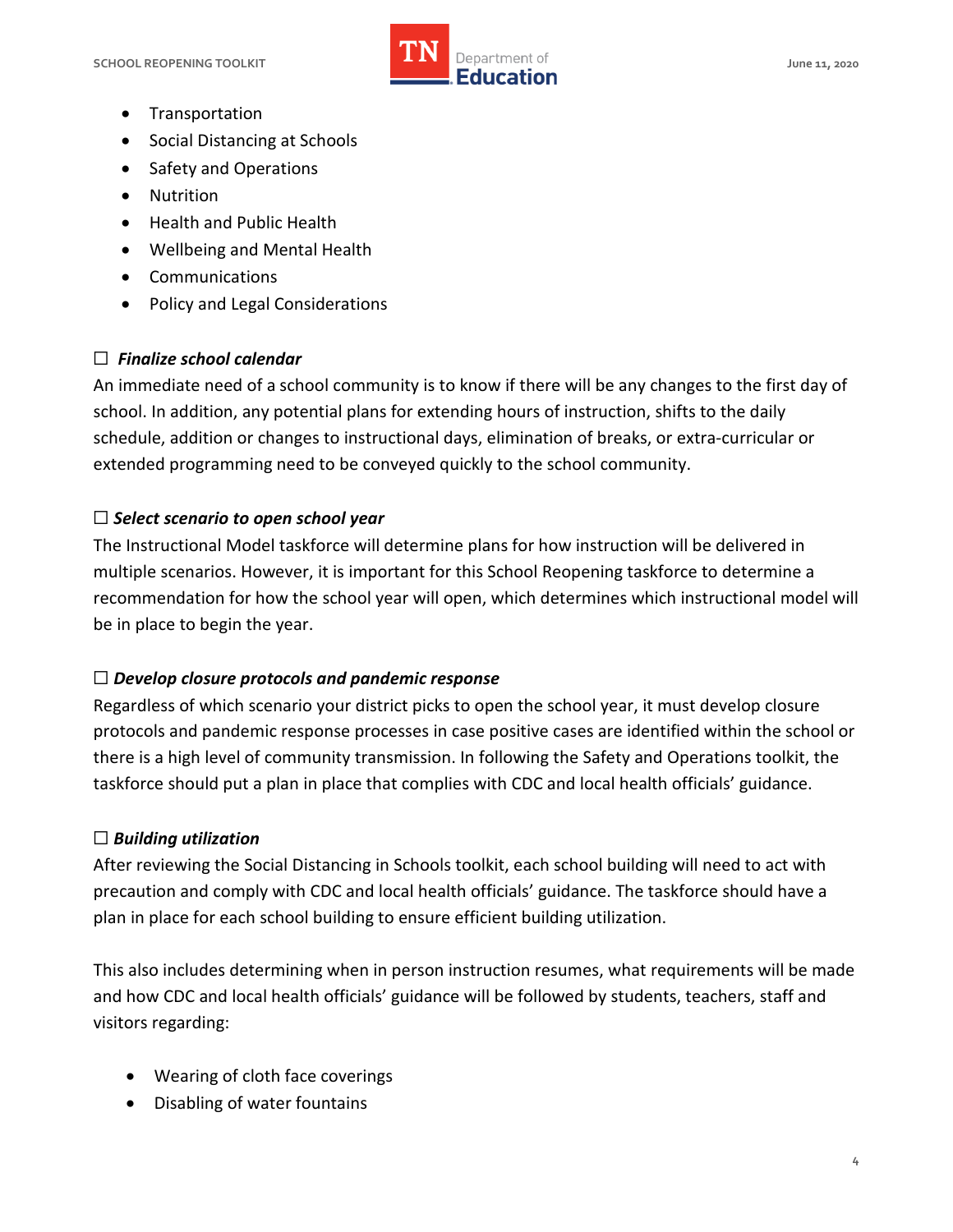

- Transportation
- Social Distancing at Schools
- Safety and Operations
- Nutrition
- Health and Public Health
- Wellbeing and Mental Health
- Communications
- Policy and Legal Considerations

## ☐ *Finalize school calendar*

 An immediate need of a school community is to know if there will be any changes to the first day of school. In addition, any potential plans for extending hours of instruction, shifts to the daily schedule, addition or changes to instructional days, elimination of breaks, or extra-curricular or extended programming need to be conveyed quickly to the school community.

#### ☐ *Select scenario to open school year*

 The Instructional Model taskforce will determine plans for how instruction will be delivered in multiple scenarios. However, it is important for this School Reopening taskforce to determine a recommendation for how the school year will open, which determines which instructional model will be in place to begin the year.

#### ☐ *Develop closure protocols and pandemic response*

 Regardless of which scenario your district picks to open the school year, it must develop closure protocols and pandemic response processes in case positive cases are identified within the school or there is a high level of community transmission. In following the Safety and Operations toolkit, the taskforce should put a plan in place that complies with CDC and local health officials' guidance.

## ☐ *Building utilization*

 After reviewing the Social Distancing in Schools toolkit, each school building will need to act with precaution and comply with CDC and local health officials' guidance. The taskforce should have a plan in place for each school building to ensure efficient building utilization.

 This also includes determining when in person instruction resumes, what requirements will be made and how CDC and local health officials' guidance will be followed by students, teachers, staff and visitors regarding:

- Wearing of cloth face coverings
- Disabling of water fountains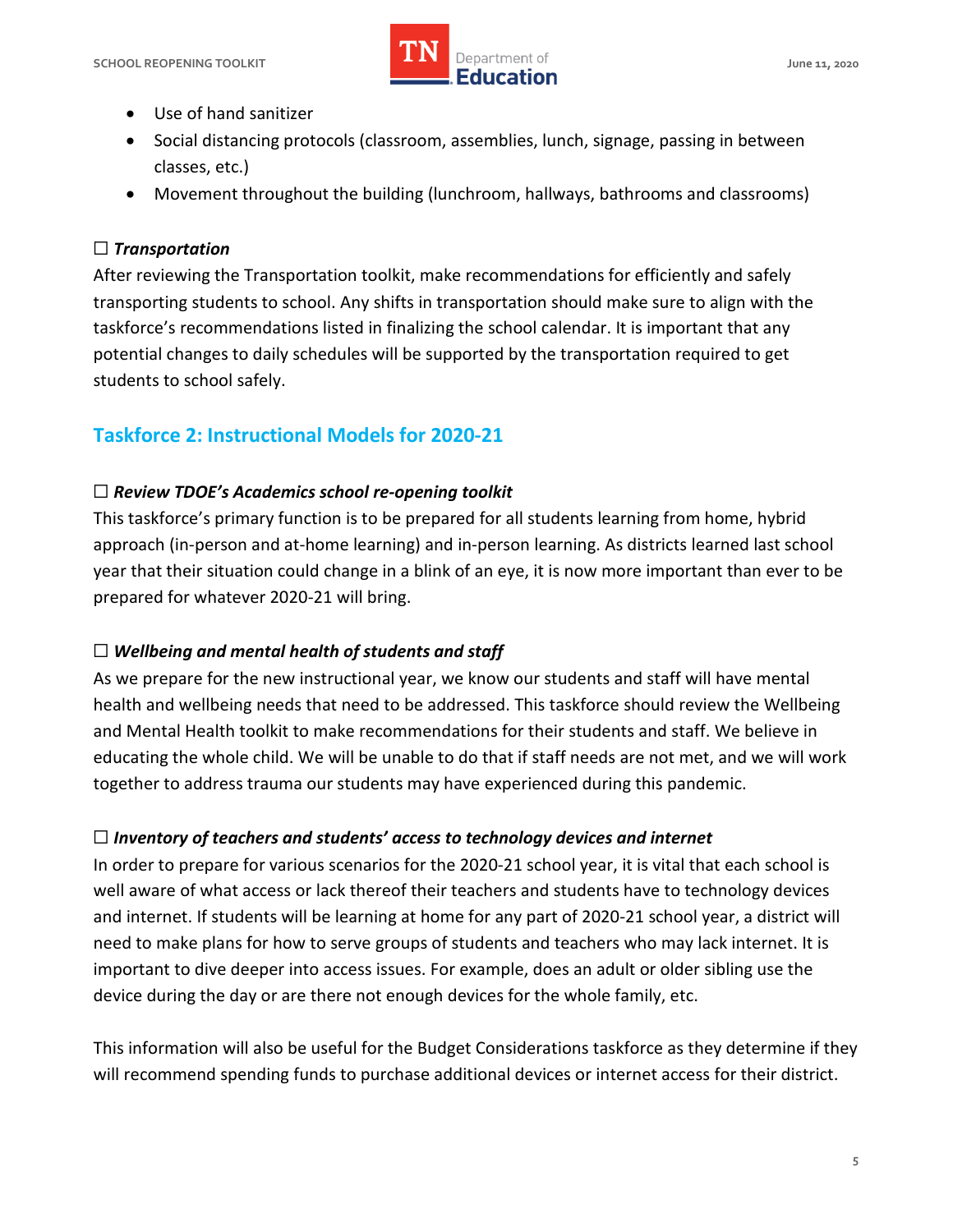

- Use of hand sanitizer
- Social distancing protocols (classroom, assemblies, lunch, signage, passing in between classes, etc.)
- Movement throughout the building (lunchroom, hallways, bathrooms and classrooms)

#### ☐ *Transportation*

 After reviewing the Transportation toolkit, make recommendations for efficiently and safely transporting students to school. Any shifts in transportation should make sure to align with the taskforce's recommendations listed in finalizing the school calendar. It is important that any potential changes to daily schedules will be supported by the transportation required to get students to school safely.

## **Taskforce 2: Instructional Models for 2020-21**

## ☐ *Review TDOE's Academics school re-opening toolkit*

 This taskforce's primary function is to be prepared for all students learning from home, hybrid approach (in-person and at-home learning) and in-person learning. As districts learned last school year that their situation could change in a blink of an eye, it is now more important than ever to be prepared for whatever 2020-21 will bring.

## $\Box$  Wellbeing and mental health of students and staff

 As we prepare for the new instructional year, we know our students and staff will have mental health and wellbeing needs that need to be addressed. This taskforce should review the Wellbeing and Mental Health toolkit to make recommendations for their students and staff. We believe in educating the whole child. We will be unable to do that if staff needs are not met, and we will work together to address trauma our students may have experienced during this pandemic.

## ☐ *Inventory of teachers and students' access to technology devices and internet*

 In order to prepare for various scenarios for the 2020-21 school year, it is vital that each school is well aware of what access or lack thereof their teachers and students have to technology devices and internet. If students will be learning at home for any part of 2020-21 school year, a district will need to make plans for how to serve groups of students and teachers who may lack internet. It is important to dive deeper into access issues. For example, does an adult or older sibling use the device during the day or are there not enough devices for the whole family, etc.

 This information will also be useful for the Budget Considerations taskforce as they determine if they will recommend spending funds to purchase additional devices or internet access for their district.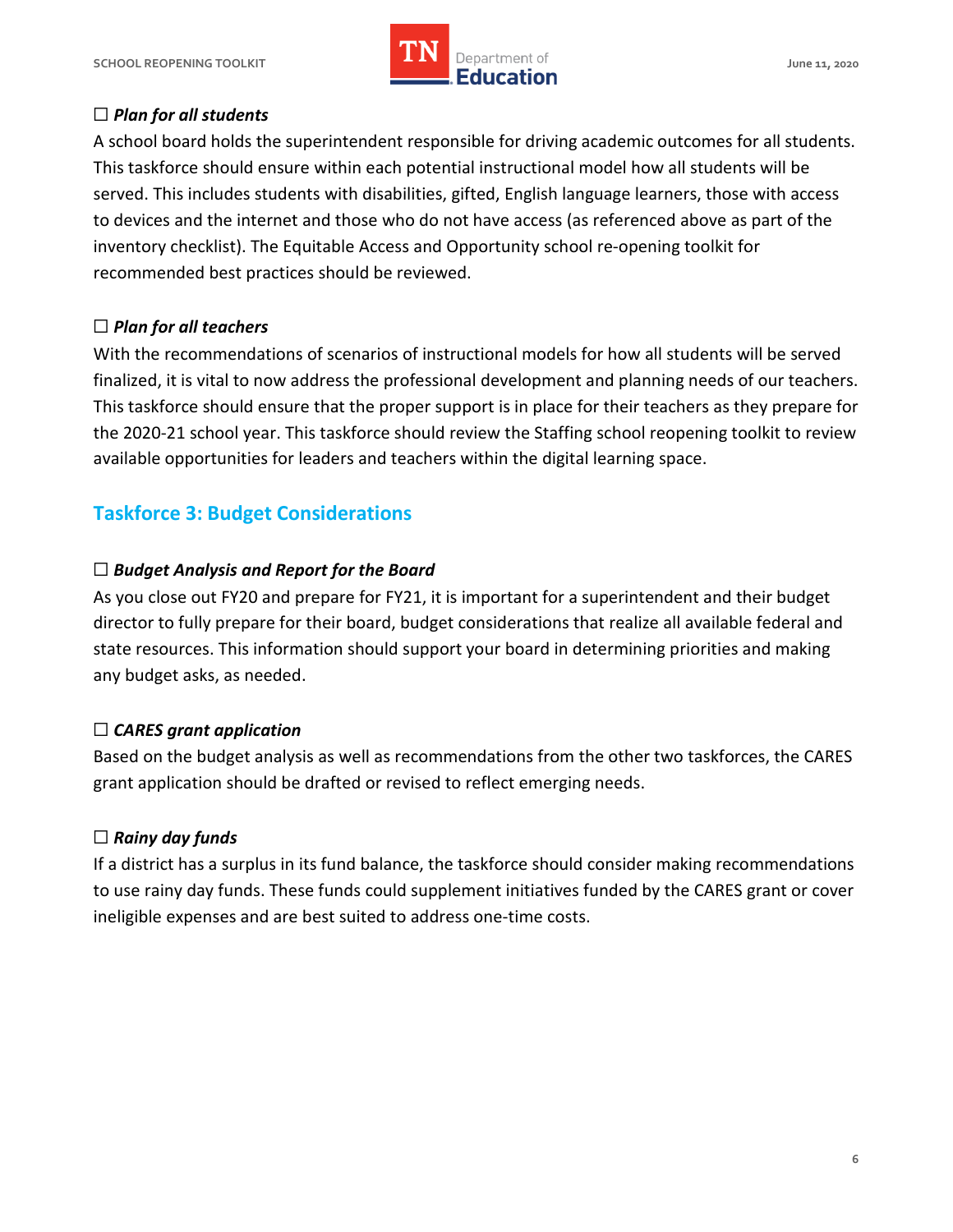

### ☐ *Plan for all students*

 A school board holds the superintendent responsible for driving academic outcomes for all students. This taskforce should ensure within each potential instructional model how all students will be served. This includes students with disabilities, gifted, English language learners, those with access to devices and the internet and those who do not have access (as referenced above as part of the inventory checklist). The Equitable Access and Opportunity school re-opening toolkit for recommended best practices should be reviewed.

#### ☐ *Plan for all teachers*

 With the recommendations of scenarios of instructional models for how all students will be served finalized, it is vital to now address the professional development and planning needs of our teachers. This taskforce should ensure that the proper support is in place for their teachers as they prepare for the 2020-21 school year. This taskforce should review the Staffing school reopening toolkit to review available opportunities for leaders and teachers within the digital learning space.

## **Taskforce 3: Budget Considerations**

## ☐ *Budget Analysis and Report for the Board*

 As you close out FY20 and prepare for FY21, it is important for a superintendent and their budget director to fully prepare for their board, budget considerations that realize all available federal and state resources. This information should support your board in determining priorities and making any budget asks, as needed.

## ☐ *CARES grant application*

 Based on the budget analysis as well as recommendations from the other two taskforces, the CARES grant application should be drafted or revised to reflect emerging needs.

### ☐ *Rainy day funds*

 If a district has a surplus in its fund balance, the taskforce should consider making recommendations to use rainy day funds. These funds could supplement initiatives funded by the CARES grant or cover ineligible expenses and are best suited to address one-time costs.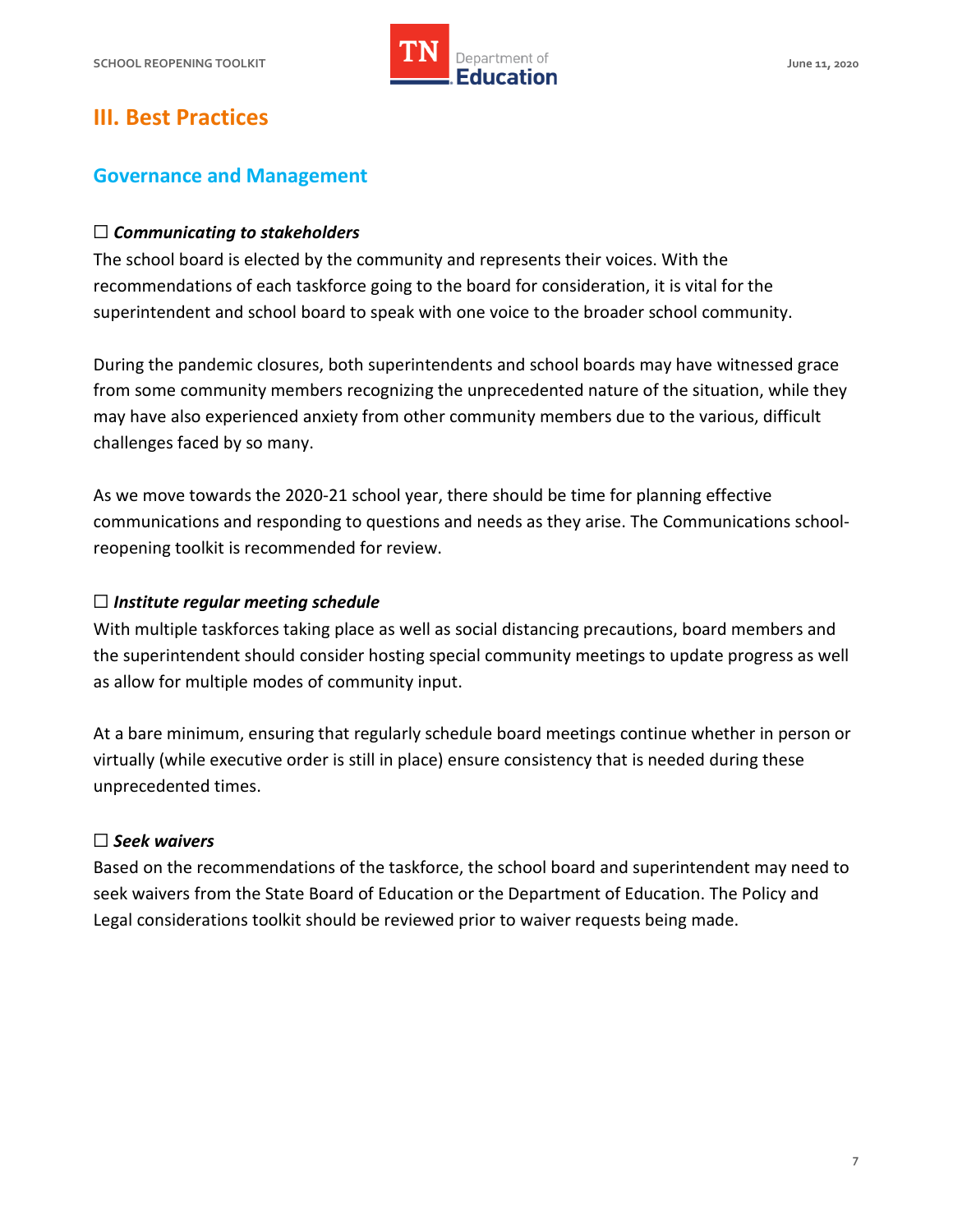

## **III. Best Practices**

#### **Governance and Management**

#### ☐ *Communicating to stakeholders*

 The school board is elected by the community and represents their voices. With the recommendations of each taskforce going to the board for consideration, it is vital for the superintendent and school board to speak with one voice to the broader school community.

 During the pandemic closures, both superintendents and school boards may have witnessed grace from some community members recognizing the unprecedented nature of the situation, while they may have also experienced anxiety from other community members due to the various, difficult challenges faced by so many.

 As we move towards the 2020-21 school year, there should be time for planning effective communications and responding to questions and needs as they arise. The Communications school-reopening toolkit is recommended for review.

#### ☐ *Institute regular meeting schedule*

 With multiple taskforces taking place as well as social distancing precautions, board members and the superintendent should consider hosting special community meetings to update progress as well as allow for multiple modes of community input.

 At a bare minimum, ensuring that regularly schedule board meetings continue whether in person or virtually (while executive order is still in place) ensure consistency that is needed during these unprecedented times.

#### ☐ *Seek waivers*

 Based on the recommendations of the taskforce, the school board and superintendent may need to seek waivers from the State Board of Education or the Department of Education. The Policy and Legal considerations toolkit should be reviewed prior to waiver requests being made.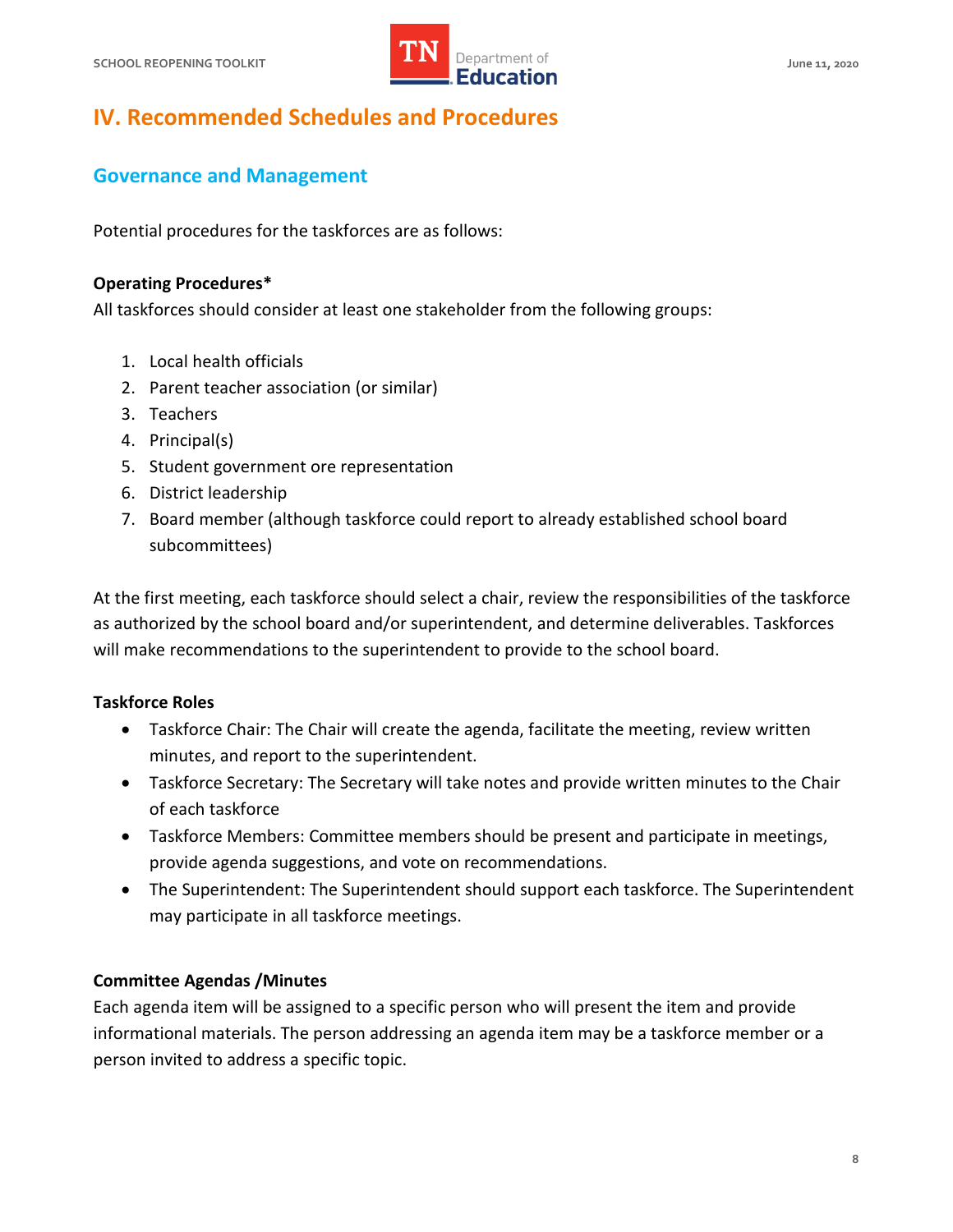

# **IV. Recommended Schedules and Procedures**

## **Governance and Management**

Potential procedures for the taskforces are as follows:

#### **Operating Procedures\***

All taskforces should consider at least one stakeholder from the following groups:

- 1. Local health officials
- 2. Parent teacher association (or similar)
- 3. Teachers
- 4. Principal(s)
- 5. Student government ore representation
- 6. District leadership
- 7. Board member (although taskforce could report to already established school board subcommittees)

 At the first meeting, each taskforce should select a chair, review the responsibilities of the taskforce as authorized by the school board and/or superintendent, and determine deliverables. Taskforces will make recommendations to the superintendent to provide to the school board.

#### **Taskforce Roles**

- Taskforce Chair: The Chair will create the agenda, facilitate the meeting, review written minutes, and report to the superintendent.
- • Taskforce Secretary: The Secretary will take notes and provide written minutes to the Chair of each taskforce
- Taskforce Members: Committee members should be present and participate in meetings, provide agenda suggestions, and vote on recommendations.
- The Superintendent: The Superintendent should support each taskforce. The Superintendent may participate in all taskforce meetings.

#### **Committee Agendas /Minutes**

 Each agenda item will be assigned to a specific person who will present the item and provide informational materials. The person addressing an agenda item may be a taskforce member or a person invited to address a specific topic.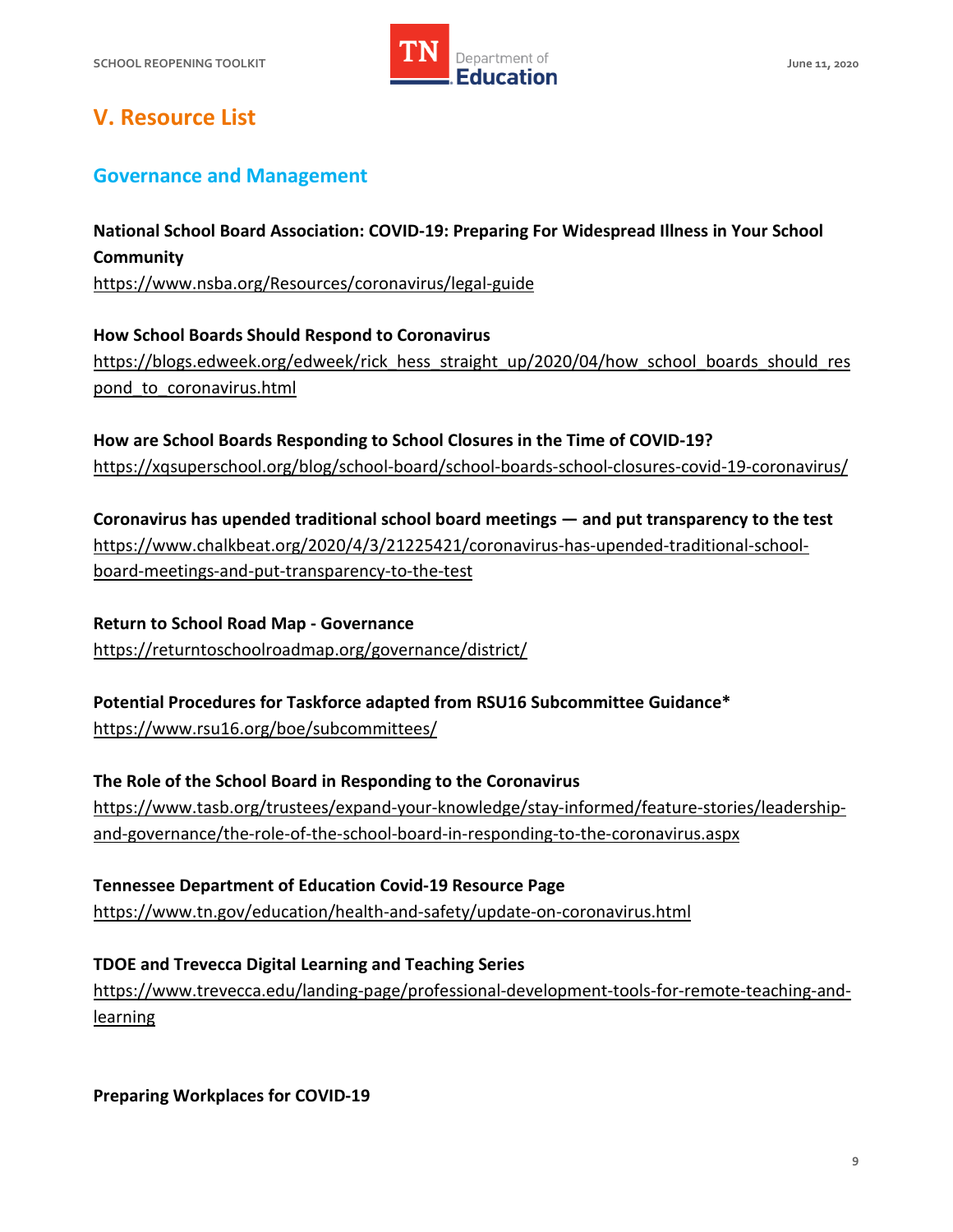

# **V. Resource List**

## **Governance and Management**

 **National School Board Association: COVID-19: Preparing For Widespread Illness in Your School Community**  <https://www.nsba.org/Resources/coronavirus/legal-guide>

 **How School Boards Should Respond to Coronavirus**  https://blogs.edweek.org/edweek/rick\_hess\_straight\_up/2020/04/how\_school\_boards\_should\_res [pond\\_to\\_coronavirus.html](https://blogs.edweek.org/edweek/rick_hess_straight_up/2020/04/how_school_boards_should_respond_to_coronavirus.html) 

 **How are School Boards Responding to School Closures in the Time of COVID-19?**  <https://xqsuperschool.org/blog/school-board/school-boards-school-closures-covid-19-coronavirus/>

 **Coronavirus has upended traditional school board meetings — and put transparency to the test**  [https://www.chalkbeat.org/2020/4/3/21225421/coronavirus-has-upended-traditional-school](https://www.chalkbeat.org/2020/4/3/21225421/coronavirus-has-upended-traditional-school-board-meetings-and-put-transparency-to-the-test)[board-meetings-and-put-transparency-to-the-test](https://www.chalkbeat.org/2020/4/3/21225421/coronavirus-has-upended-traditional-school-board-meetings-and-put-transparency-to-the-test) 

 **Return to School Road Map - Governance**  <https://returntoschoolroadmap.org/governance/district/>

 **Potential Procedures for Taskforce adapted from RSU16 Subcommittee Guidance\*** 

<https://www.rsu16.org/boe/subcommittees/>

 **The Role of the School Board in Responding to the Coronavirus**  [https://www.tasb.org/trustees/expand-your-knowledge/stay-informed/feature-stories/leadership](https://www.tasb.org/trustees/expand-your-knowledge/stay-informed/feature-stories/leadership-and-governance/the-role-of-the-school-board-in-responding-to-the-coronavirus.aspx)[and-governance/the-role-of-the-school-board-in-responding-to-the-coronavirus.aspx](https://www.tasb.org/trustees/expand-your-knowledge/stay-informed/feature-stories/leadership-and-governance/the-role-of-the-school-board-in-responding-to-the-coronavirus.aspx) 

 **Tennessee Department of Education Covid-19 Resource Page**  <https://www.tn.gov/education/health-and-safety/update-on-coronavirus.html>

 **TDOE and Trevecca Digital Learning and Teaching Series**  [https://www.trevecca.edu/landing-page/professional-development-tools-for-remote-teaching-and](https://www.trevecca.edu/landing-page/professional-development-tools-for-remote-teaching-and-learning)**learning** 

 **Preparing Workplaces for COVID-19**